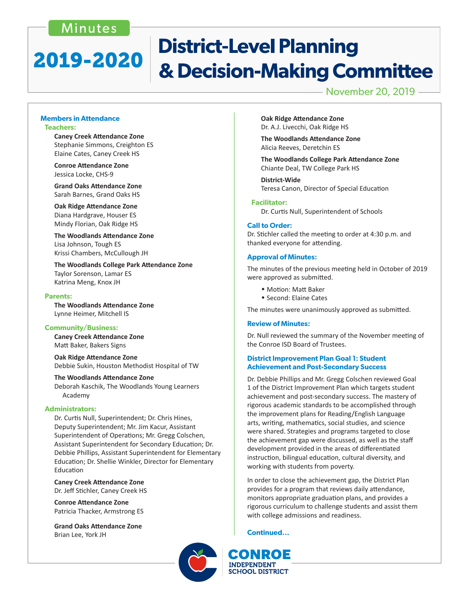## Minutes

# **District-Level Planning** 2019-2020 & Decision-Making Committee

November 20, 2019

#### **Members in Attendance Teachers:**

 **Caney Creek Attendance Zone** Stephanie Simmons, Creighton ES Elaine Cates, Caney Creek HS

 **Conroe Attendance Zone** Jessica Locke, CHS-9

 **Grand Oaks Attendance Zone** Sarah Barnes, Grand Oaks HS

 **Oak Ridge Attendance Zone** Diana Hardgrave, Houser ES Mindy Florian, Oak Ridge HS

 **The Woodlands Attendance Zone** Lisa Johnson, Tough ES Krissi Chambers, McCullough JH

 **The Woodlands College Park Attendance Zone** Taylor Sorenson, Lamar ES Katrina Meng, Knox JH

#### **Parents:**

 **The Woodlands Attendance Zone** Lynne Heimer, Mitchell IS

#### **Community/Business:**

 **Caney Creek Attendance Zone** Matt Baker, Bakers Signs

 **Oak Ridge Attendance Zone** Debbie Sukin, Houston Methodist Hospital of TW

 **The Woodlands Attendance Zone**

Deborah Kaschik, The Woodlands Young Learners Academy

#### **Administrators:**

 Dr. Curtis Null, Superintendent; Dr. Chris Hines, Deputy Superintendent; Mr. Jim Kacur, Assistant Superintendent of Operations; Mr. Gregg Colschen, Assistant Superintendent for Secondary Education; Dr. Debbie Phillips, Assistant Superintendent for Elementary Education; Dr. Shellie Winkler, Director for Elementary Education

 **Caney Creek Attendance Zone**  Dr. Jeff Stichler, Caney Creek HS

 **Conroe Attendance Zone**  Patricia Thacker, Armstrong ES

 **Grand Oaks Attendance Zone** Brian Lee, York JH

**Oak Ridge Attendance Zone**  Dr. A.J. Livecchi, Oak Ridge HS

**The Woodlands Attendance Zone**  Alicia Reeves, Deretchin ES

**The Woodlands College Park Attendance Zone**  Chiante Deal, TW College Park HS

**District-Wide** Teresa Canon, Director of Special Education

#### **Facilitator:**

 Dr. Curtis Null, Superintendent of Schools

#### **Call to Order:**

Dr. Stichler called the meeting to order at 4:30 p.m. and thanked everyone for attending.

#### **Approval of Minutes:**

The minutes of the previous meeting held in October of 2019 were approved as submitted.

- Motion: Matt Baker
- Second: Elaine Cates

The minutes were unanimously approved as submitted.

#### **Review of Minutes:**

Dr. Null reviewed the summary of the November meeting of the Conroe ISD Board of Trustees.

#### **District Improvement Plan Goal 1: Student Achievement and Post-Secondary Success**

Dr. Debbie Phillips and Mr. Gregg Colschen reviewed Goal 1 of the District Improvement Plan which targets student achievement and post-secondary success. The mastery of rigorous academic standards to be accomplished through the improvement plans for Reading/English Language arts, writing, mathematics, social studies, and science were shared. Strategies and programs targeted to close the achievement gap were discussed, as well as the staff development provided in the areas of differentiated instruction, bilingual education, cultural diversity, and working with students from poverty.

In order to close the achievement gap, the District Plan provides for a program that reviews daily attendance, monitors appropriate graduation plans, and provides a rigorous curriculum to challenge students and assist them with college admissions and readiness.

**Continued...**



CONROE **INDEPENDENT SCHOOL DISTRICT**